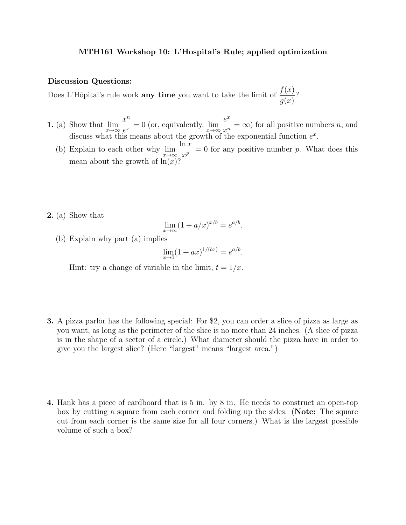## MTH161 Workshop 10: L'Hospital's Rule; applied optimization

## Discussion Questions:

Does L'Hôpital's rule work **any time** you want to take the limit of  $\frac{f(x)}{f(x)}$  $g(x)$ ?

- **1.** (a) Show that  $\lim_{x\to\infty}$  $x^n$  $\frac{w}{e^x} = 0$  (or, equivalently,  $\lim_{x \to \infty}$  $e^x$  $\frac{c}{x_i^n} = \infty$  for all positive numbers *n*, and discuss what this means about the growth of the exponential function  $e^x$ .
	- (b) Explain to each other why  $\lim_{x\to\infty}$  $ln x$  $\frac{d^2w}{dx^p} = 0$  for any positive number p. What does this mean about the growth of  $\ln(x)$ ?
- 2. (a) Show that

$$
\lim_{x \to \infty} (1 + a/x)^{x/b} = e^{a/b}.
$$

(b) Explain why part (a) implies

$$
\lim_{x \to 0} (1 + ax)^{1/(bx)} = e^{a/b}.
$$

Hint: try a change of variable in the limit,  $t = 1/x$ .

- 3. A pizza parlor has the following special: For \$2, you can order a slice of pizza as large as you want, as long as the perimeter of the slice is no more than 24 inches. (A slice of pizza is in the shape of a sector of a circle.) What diameter should the pizza have in order to give you the largest slice? (Here "largest" means "largest area.")
- 4. Hank has a piece of cardboard that is 5 in. by 8 in. He needs to construct an open-top box by cutting a square from each corner and folding up the sides. (Note: The square cut from each corner is the same size for all four corners.) What is the largest possible volume of such a box?